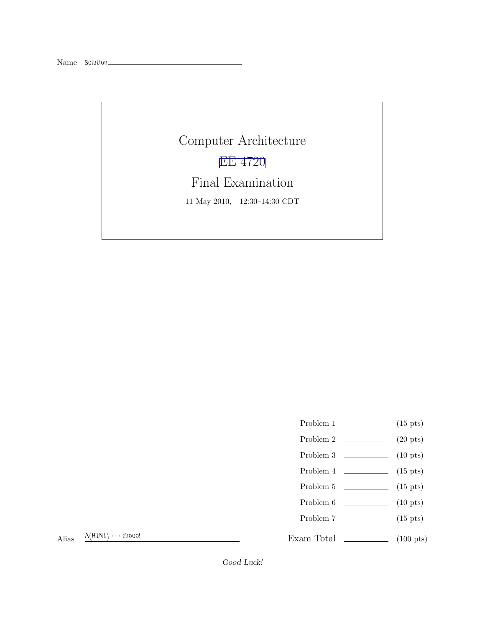Name Solution\_

Computer Architecture [EE 4720](http://www.ece.lsu.edu/ee4720/) Final Examination 11 May 2010, 12:30–14:30 CDT

- Problem 1  $\qquad \qquad$  (15 pts)
- Problem 2  $\qquad \qquad (20 \text{ pts})$
- Problem 3  $\qquad \qquad$  (10 pts)
- Problem  $4 \t\t(15 \text{ pts})$
- Problem 5 (15 pts)
- Problem 6 (10 pts)
- Problem 7 (15 pts)

Exam Total \_\_\_\_\_\_\_\_\_\_\_\_\_\_ (100 pts)

Alias  $A(H1N1) \cdots$  chooo!

Good Luck!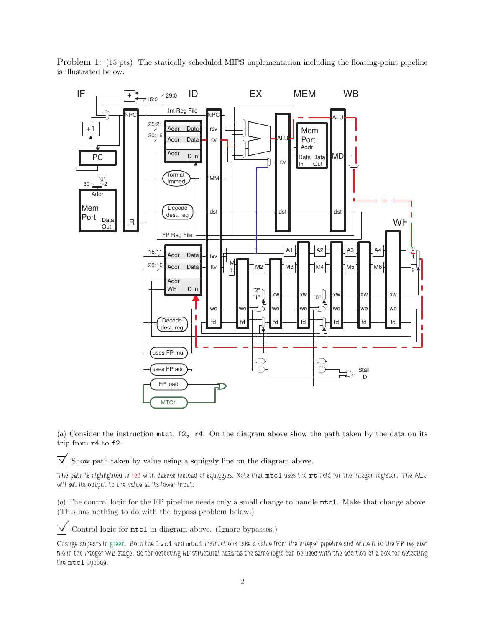Problem 1: (15 pts) The statically scheduled MIPS implementation including the floating-point pipeline is illustrated below.



(a) Consider the instruction mtc1 f2, r4. On the diagram above show the path taken by the data on its trip from r4 to f2.

 $\triangledown$  Show path taken by value using a squiggly line on the diagram above.

The path is highlighted in red with dashes instead of squiggles. Note that  $m$ tc1 uses the rt field for the integer register. The ALU will set its output to the value at its lower input.

(b) The control logic for the FP pipeline needs only a small change to handle mtc1. Make that change above. (This has nothing to do with the bypass problem below.)

 $\triangledown$  Control logic for  $m \texttt{tcl}$  in diagram above. (Ignore bypasses.)

Change appears in green. Both the lwc1 and mtc1 instructions take a value from the integer pipeline and write it to the FP register file in the integer WB stage. So for detecting WF structural hazards the same logic can be used with the addition of a box for detecting the mtc1 opcode.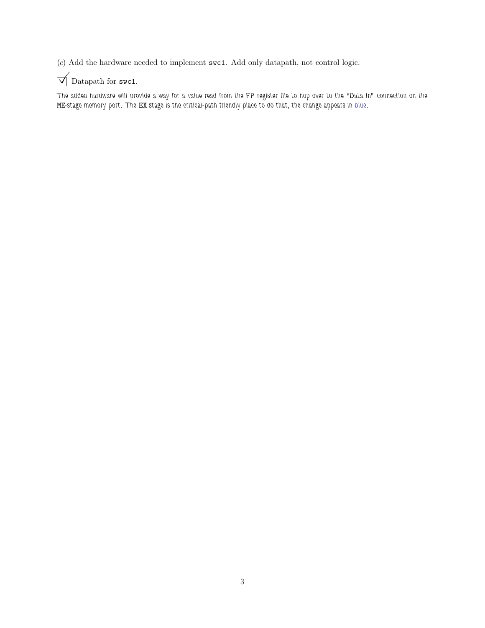(c) Add the hardware needed to implement swc1. Add only datapath, not control logic.

 $\sqrt{\phantom{a}}$  Datapath for swc1.

The added hardware will provide a way for a value read from the FP register file to hop over to the "Data In" connection on the ME-stage memory port. The EX stage is the critical-path friendly place to do that, the change appears in blue.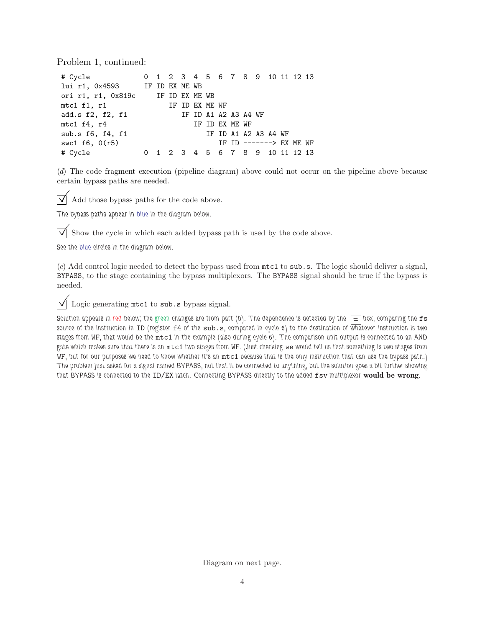Problem 1, continued:

# Cycle 0 1 2 3 4 5 6 7 8 9 10 11 12 13 lui r1, 0x4593 IF ID EX ME WB ori r1, r1, 0x819c IF ID EX ME WB mtc1 f1, r1 IF ID EX ME WF add.s f2, f2, f1 IF ID A1 A2 A3 A4 WF mtc1 f4, r4 IF ID EX ME WF sub.s f6, f4, f1 IF ID A1 A2 A3 A4 WF swc1 f6, 0(r5) TF ID -------> EX ME WF # Cycle 0 1 2 3 4 5 6 7 8 9 10 11 12 13

(d) The code fragment execution (pipeline diagram) above could not occur on the pipeline above because certain bypass paths are needed.

 $\triangledown$  Add those bypass paths for the code above.

The bypass paths appear in blue in the diagram below.

 $\triangledown$  Show the cycle in which each added bypass path is used by the code above.

See the blue circles in the diagram below.

(e) Add control logic needed to detect the bypass used from mtc1 to sub.s. The logic should deliver a signal, BYPASS, to the stage containing the bypass multiplexors. The BYPASS signal should be true if the bypass is needed.

 $\triangledown$  Logic generating mtc1 to sub.s bypass signal.

Solution appears in red below; the green changes are from part (b). The dependence is detected by the  $\equiv$  box, comparing the fs source of the instruction in ID (register  $f4$  of the sub.s, compared in cycle 6) to the destination of whatever instruction is two stages from WF, that would be the mtc1 in the example (also during cycle 6). The comparison unit output is connected to an AND gate which makes sure that there is an mtc1 two stages from WF. (Just checking we would tell us that something is two stages from WF, but for our purposes we need to know whether it's an  $m \text{t}$  because that is the only instruction that can use the bypass path.) The problem just asked for a signal named BYPASS, not that it be connected to anything, but the solution goes a bit further showing that BYPASS is connected to the ID/EX latch. Connecting BYPASS directly to the added fsv multiplexor would be wrong.

Diagram on next page.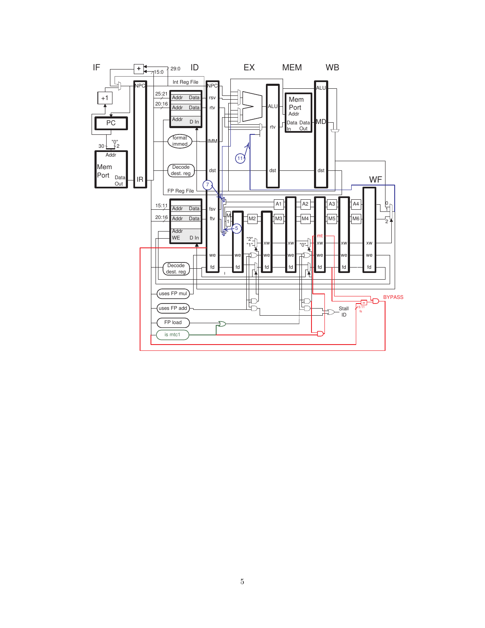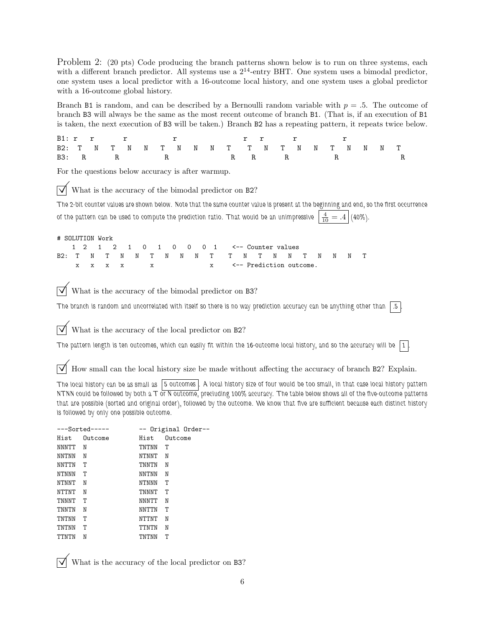Problem 2: (20 pts) Code producing the branch patterns shown below is to run on three systems, each with a different branch predictor. All systems use a  $2^{14}$ -entry BHT. One system uses a bimodal predictor, one system uses a local predictor with a 16-outcome local history, and one system uses a global predictor with a 16-outcome global history.

Branch B1 is random, and can be described by a Bernoulli random variable with  $p = .5$ . The outcome of branch B3 will always be the same as the most recent outcome of branch B1. (That is, if an execution of B1 is taken, the next execution of B3 will be taken.) Branch B2 has a repeating pattern, it repeats twice below.

|  |  |  |  |  | B2: T N T N N T N N N T T N T N N T N N N T |  |  |  |  |  |  |
|--|--|--|--|--|---------------------------------------------|--|--|--|--|--|--|
|  |  |  |  |  |                                             |  |  |  |  |  |  |
|  |  |  |  |  |                                             |  |  |  |  |  |  |

For the questions below accuracy is after warmup.

What is the accuracy of the bimodal predictor on B2?

The 2-bit counter values are shown below. Note that the same counter value is present at the beginning and end, so the first occurrence of the pattern can be used to compute the prediction ratio. That would be an unimpressive  $\left|\frac{4}{10}=.4\right|(40\%).$ 

# SOLUTION Work 1 2 1 2 1 0 1 0 0 0 1 <-- Counter values B2: T N T N N T N N N T T N T N N T N N N T x x x x x x <-- Prediction outcome.

What is the accuracy of the bimodal predictor on B3?

The branch is random and uncorrelated with itself so there is no way prediction accuracy can be anything other than  $\boxed{.5}$ 

 $\triangledown$  What is the accuracy of the local predictor on B2?

The pattern length is ten outcomes, which can easily fit within the 16-outcome local history, and so the accuracy will be  $\boxed{1}$ 

 $\sqrt{\phantom{a}}$  How small can the local history size be made without affecting the accuracy of branch B2? Explain.

The local history can be as small as 5 outcomes. A local history size of four would be too small, in that case local history pattern NTNN could be followed by both a T or N outcome, precluding 100% accuracy. The table below shows all of the five-outcome patterns that are possible (sorted and original order), followed by the outcome. We know that five are sufficient because each distinct history is followed by only one possible outcome.

|              | $---Sorted---$ |              | -- Original Order-- |
|--------------|----------------|--------------|---------------------|
| Hist         | Outcome        | Hist         | Outcome             |
| NNNTT        | N              | TNTNN        | т                   |
| NNTNN        | N              | NTNNT        | N                   |
| NNTTN        | Т              | TNNTN        | N                   |
| <b>NTNNN</b> | т              | <b>NNTNN</b> | N                   |
| NTNNT        | N              | <b>NTNNN</b> | т                   |
| NTTNT        | N              | TNNNT        | т                   |
| TNNNT        | т              | NNNTT        | N                   |
| TNNTN        | N              | NNTTN        | т                   |
| TNTNN        | Т              | NTTNT        | N                   |
| TNTNN        | Т              | TTNTN        | N                   |
| TTNTN        | N              | TNTNN        | т                   |

 $\triangledown$  What is the accuracy of the local predictor on B3?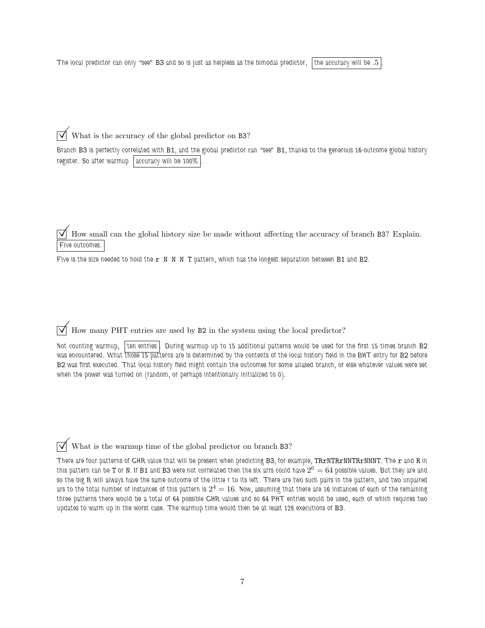The local predictor can only "see" B3 and so is just as helpless as the bimodal predictor, the accuracy will be  $.5$ 

 $\triangledown$  What is the accuracy of the global predictor on B3?

Branch B3 is perfectly correlated with B1, and the global predictor can "see" B1, thanks to the generous 16-outcome global history register. So after warmup accuracy will be 100%

 How small can the global history size be made without affecting the accuracy of branch B3? Explain. Five outcomes.

Five is the size needed to hold the  $r \, N \, N \, N$  T pattern, which has the longest separation between B1 and B2.

 $\overline{\vee}$  How many PHT entries are used by B2 in the system using the local predictor?

Not counting warmup, ten entries . During warmup up to 15 additional patterns would be used for the first 15 times branch B2 was encountered. What those 15 patterns are is determined by the contents of the local history field in the BHT entry for B2 before B2 was first executed. That local history field might contain the outcomes for some aliased branch, or else whatever values were set when the power was turned on (random, or perhaps intentionally initialized to 0).

 $\overrightarrow{\mathsf{V}}$  What is the warmup time of the global predictor on branch B3?

There are four patterns of GHR value that will be present when predicting B3, for example, TRrNTRrNNTRrNNNT. The r and R in this pattern can be T or N. If B1 and B3 were not correlated then the six arrs could have  $2^6=64$  possible values. But they are and so the big R will always have the same outcome of the little r to its left. There are two such pairs in the pattern, and two unpaired ars to the total number of instances of this pattern is  $2^4=16$ . Now, assuming that there are 16 instances of each of the remaining three patterns there would be a total of 64 possible GHR values and so 64 PHT entries would be used, each of which requires two updates to warm up in the worst case. The warmup time would then be at least 128 executions of B3.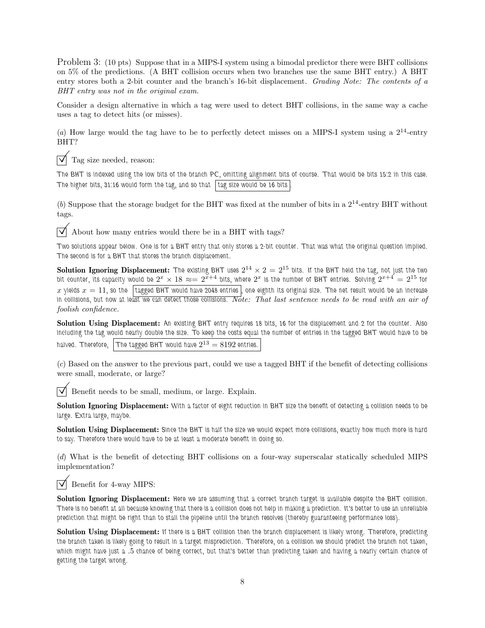Problem 3: (10 pts) Suppose that in a MIPS-I system using a bimodal predictor there were BHT collisions on 5% of the predictions. (A BHT collision occurs when two branches use the same BHT entry.) A BHT entry stores both a 2-bit counter and the branch's 16-bit displacement. Grading Note: The contents of a BHT entry was not in the original exam.

Consider a design alternative in which a tag were used to detect BHT collisions, in the same way a cache uses a tag to detect hits (or misses).

(a) How large would the tag have to be to perfectly detect misses on a MIPS-I system using a  $2^{14}$ -entry BHT?

 $\nabla$  Tag size needed, reason:

The BHT is indexed using the low bits of the branch PC, omitting alignment bits of course. That would be bits 15:2 in this case. The higher bits, 31:16 would form the tag, and so that  $\frac{1}{2}$  tag size would be 16 bits

(b) Suppose that the storage budget for the BHT was fixed at the number of bits in a  $2^{14}$ -entry BHT without tags.

 $\triangledown$  About how many entries would there be in a BHT with tags?

Two solutions appear below. One is for a BHT entry that only stores a 2-bit counter. That was what the original question implied. The second is for a BHT that stores the branch displacement.

 ${\bf Solution\ Ignoring\ Displacement}\colon$  The existing BHT uses  $2^{14}\times 2=2^{15}$  bits. If the BHT held the tag, not just the two bit counter, its capacity would be  $2^x\times 18\approx=2^{\widetilde{x}+4}$  bits, where  $2^x$  is the number of BHT entries. Solving  $2^{x+4}=2^{15}$  for x yields  $x = 11$ , so the tagged BHT would have 2048 entries , one eighth its original size. The net result would be an increase in collisions, but now at least we can detect those collisions. Note: That last sentence needs to be read with an air of foolish confidence.

Solution Using Displacement: An existing BHT entry requires 18 bits, 16 for the displacement and 2 for the counter. Also including the tag would nearly double the size. To keep the costs equal the number of entries in the tagged BHT would have to be halved. Therefore,  $\boxed{\texttt{The tagged BHT}}$  would have  $2^{13} = 8192$  entries.

(c) Based on the answer to the previous part, could we use a tagged BHT if the benefit of detecting collisions were small, moderate, or large?

Benefit needs to be small, medium, or large. Explain.

Solution Ignoring Displacement: With a factor of eight reduction in BHT size the benefit of detecting a collision needs to be large. Extra large, maybe.

Solution Using Displacement: Since the BHT is half the size we would expect more collisions, exactly how much more is hard to say. Therefore there would have to be at least a moderate benefit in doing so.

(d) What is the benefit of detecting BHT collisions on a four-way superscalar statically scheduled MIPS implementation?

 $\sqrt{\phantom{a}}$  Benefit for 4-way MIPS:

Solution Ignoring Displacement: Here we are assuming that a correct branch target is available despite the BHT collision. There is no benefit at all because knowing that there is a collision does not help in making a prediction. It's better to use an unreliable prediction that might be right than to stall the pipeline until the branch resolves (thereby guaranteeing performance loss).

Solution Using Displacement: If there is a BHT collision then the branch displacement is likely wrong. Therefore, predicting the branch taken is likely going to result in a target misprediction. Therefore, on a collision we should predict the branch not taken, which might have just a .5 chance of being correct, but that's better than predicting taken and having a nearly certain chance of getting the target wrong.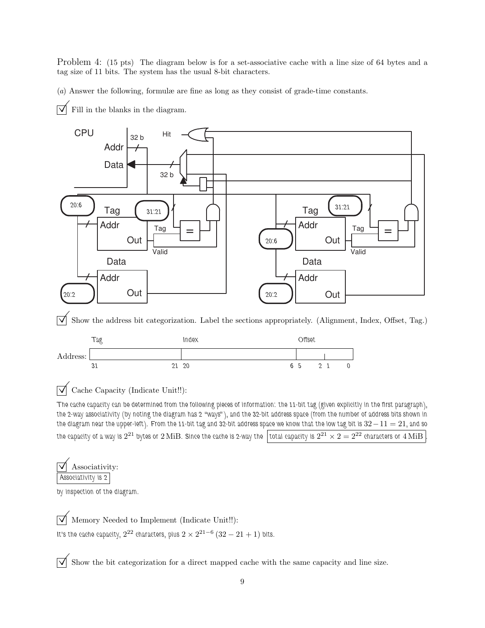Problem 4: (15 pts) The diagram below is for a set-associative cache with a line size of 64 bytes and a tag size of 11 bits. The system has the usual 8-bit characters.

(a) Answer the following, formulæ are fine as long as they consist of grade-time constants.

 $\triangledown$  Fill in the blanks in the diagram.



the capacity of a way is  $2^{21}$  bytes or  $2$  MiB. Since the cache is 2-way the  $\, \big|$  total capacity is  $2^{21} \times 2 = 2^{22}$  characters or  $4$  MiB  $\big|$ 

 Associativity: Associativity is 2

by inspection of the diagram.

 $\triangledown$  Memory Needed to Implement (Indicate Unit!!): It's the cache capacity,  $2^{22}$  characters, plus  $2\times 2^{21-6}\left(32-21+1\right)$  bits.

 $\overrightarrow{\mathcal{A}}$  Show the bit categorization for a direct mapped cache with the same capacity and line size.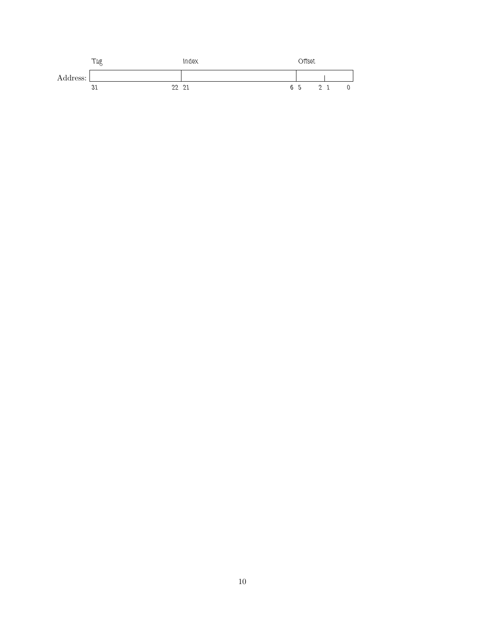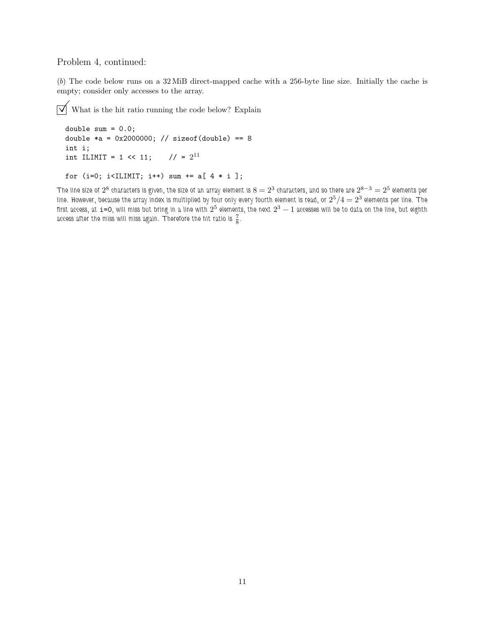## Problem 4, continued:

(b) The code below runs on a 32 MiB direct-mapped cache with a 256-byte line size. Initially the cache is empty; consider only accesses to the array.

 $\overrightarrow{\mathbf{V}}$  What is the hit ratio running the code below? Explain

```
double sum = 0.0;
double *a = 0x2000000; // sizeof(double) == 8
int i;
int ILIMIT = 1 \leq 11;
                       11 = 2^{11}
```

```
for (i=0; i<IILMIT; i++) sum += a[ 4 * i];
```
The line size of  $2^8$  characters is given, the size of an array element is  $8=2^3$  characters, and so there are  $2^{8-3}=2^5$  elements per line. However, because the array index is multiplied by four only every fourth element is read, or  $2^5/4=2^3$  elements per line. The first access, at  $\mathtt{i}=$ 0, will miss but bring in a line with  $2^5$  elements, the next  $2^3-1$  accesses will be to data on the line, but eighth access after the miss will miss again. Therefore the hit ratio is  $\frac{7}{8}$ .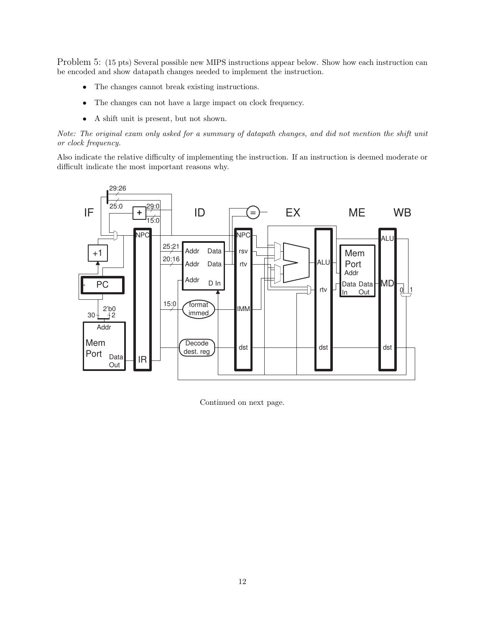Problem 5: (15 pts) Several possible new MIPS instructions appear below. Show how each instruction can be encoded and show datapath changes needed to implement the instruction.

- The changes cannot break existing instructions.
- The changes can not have a large impact on clock frequency.
- A shift unit is present, but not shown.

Note: The original exam only asked for a summary of datapath changes, and did not mention the shift unit or clock frequency.

Also indicate the relative difficulty of implementing the instruction. If an instruction is deemed moderate or difficult indicate the most important reasons why.



Continued on next page.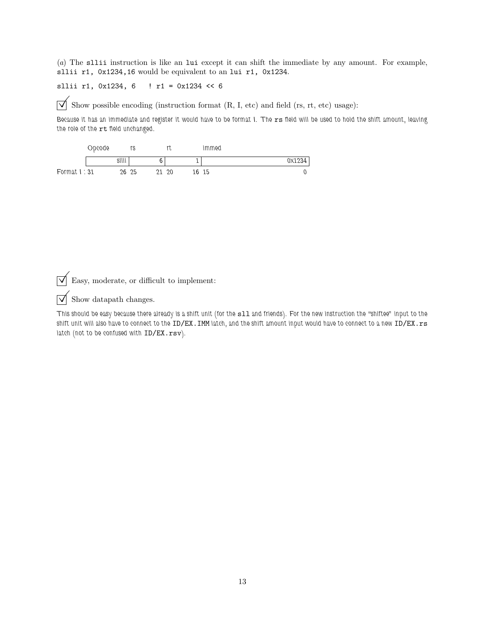(a) The sllii instruction is like an lui except it can shift the immediate by any amount. For example, sllii r1, 0x1234,16 would be equivalent to an lui r1, 0x1234.

sllii r1, 0x1234, 6 ! r1 = 0x1234 << 6

 $\overrightarrow{\mathcal{A}}$  Show possible encoding (instruction format (R, I, etc) and field (rs, rt, etc) usage):

Because it has an immediate and register it would have to be format I. The rs field will be used to hold the shift amount, leaving the role of the rt field unchanged.



 $\overrightarrow{\bigvee}$  Easy, moderate, or difficult to implement:

## $\sqrt{\phantom{a}}$  Show datapath changes.

This should be easy because there already is a shift unit (for the s11 and friends). For the new instruction the "shiftee" input to the shift unit will also have to connect to the ID/EX. IMM latch, and the shift amount input would have to connect to a new ID/EX.rs latch (not to be confused with ID/EX.rsv).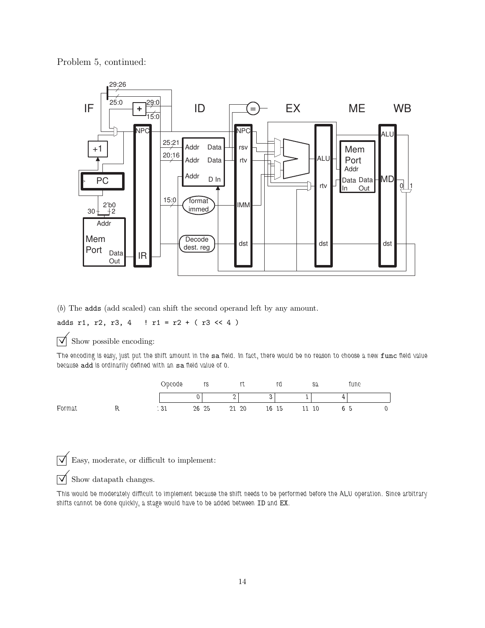Problem 5, continued:



(b) The adds (add scaled) can shift the second operand left by any amount.

adds r1, r2, r3, 4  $!$  r1 = r2 + ( r3 << 4)

 $\overline{\vee}$  Show possible encoding:

The encoding is easy, just put the shift amount in the sa field. In fact, there would be no reason to choose a new func field value because add is ordinarily defined with an sa field value of 0.



 $\overrightarrow{\mathsf{a}}$  Easy, moderate, or difficult to implement:

## $\triangledown$  Show datapath changes.

This would be moderately difficult to implement because the shift needs to be performed before the ALU operation. Since arbitrary shifts cannot be done quickly, a stage would have to be added between ID and EX.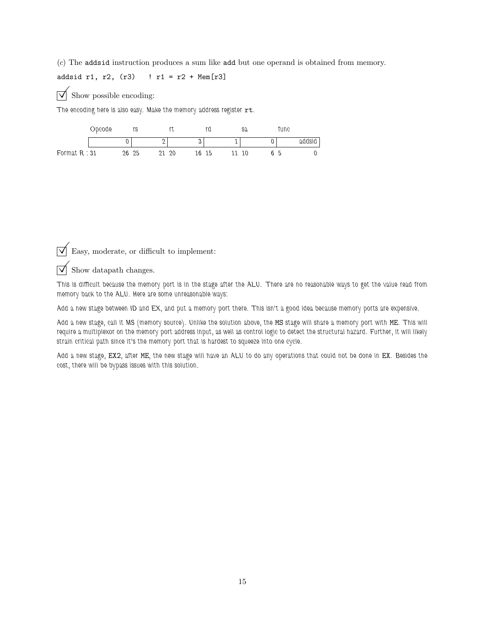(c) The addsid instruction produces a sum like add but one operand is obtained from memory.

addsid r1, r2,  $(r3)$  ! r1 = r2 + Mem[r3]

 $\triangledown$  Show possible encoding:

The encoding here is also easy. Make the memory address register rt.

|             | opcode |    | rs  |   |    |    |    | sa |     | runc |
|-------------|--------|----|-----|---|----|----|----|----|-----|------|
|             |        |    |     | ∽ |    |    |    |    |     |      |
| Format R:31 |        | 26 | -25 |   | 20 | ⊾6 | 15 | 10 | ნ 5 |      |

 $\overrightarrow{\bigvee}$  Easy, moderate, or difficult to implement:

 $\triangledown$  Show datapath changes.

This is difficult because the memory port is in the stage after the ALU. There are no reasonable ways to get the value read from memory back to the ALU. Here are some unreasonable ways:

Add a new stage between ID and EX, and put a memory port there. This isn't a good idea because memory ports are expensive.

Add a new stage, call it MS (memory source). Unlike the solution above, the MS stage will share a memory port with ME. This will require a multiplexor on the memory port address input, as well as control logic to detect the structural hazard. Further, it will likely strain critical path since it's the memory port that is hardest to squeeze into one cycle.

Add a new stage, EX2, after ME, the new stage will have an ALU to do any operations that could not be done in EX. Besides the cost, there will be bypass issues with this solution.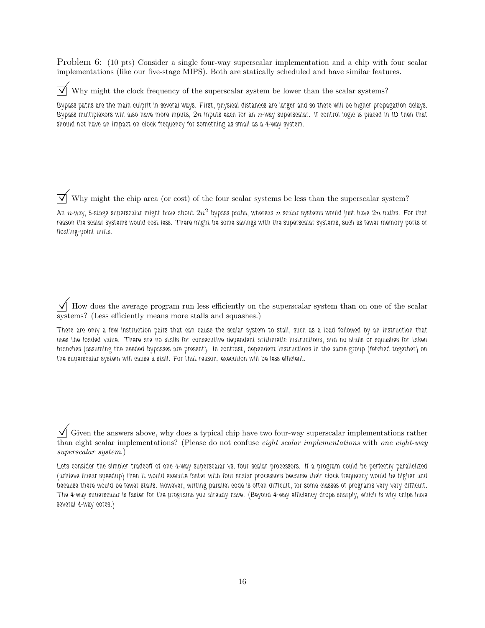Problem 6: (10 pts) Consider a single four-way superscalar implementation and a chip with four scalar implementations (like our five-stage MIPS). Both are statically scheduled and have similar features.

Why might the clock frequency of the superscalar system be lower than the scalar systems?

Bypass paths are the main culprit in several ways. First, physical distances are larger and so there will be higher propagation delays. Bypass multiplexors will also have more inputs,  $2n$  inputs each for an  $n$ -way superscalar. If control logic is placed in ID then that should not have an impact on clock frequency for something as small as a 4-way system.

 $\overrightarrow{\mathsf{M}}$  Why might the chip area (or cost) of the four scalar systems be less than the superscalar system?

An  $n$ -way, 5-stage superscalar might have about  $2n^2$  bypass paths, whereas  $n$  scalar systems would just have  $2n$  paths. For that reason the scalar systems would cost less. There might be some savings with the superscalar systems, such as fewer memory ports or floating-point units.

 $\overrightarrow{\mathcal{A}}$  How does the average program run less efficiently on the superscalar system than on one of the scalar systems? (Less efficiently means more stalls and squashes.)

There are only a few instruction pairs that can cause the scalar system to stall, such as a load followed by an instruction that uses the loaded value. There are no stalls for consecutive dependent arithmetic instructions, and no stalls or squashes for taken branches (assuming the needed bypasses are present). In contrast, dependent instructions in the same group (fetched together) on the superscalar system will cause a stall. For that reason, execution will be less efficient.

 $\forall$  Given the answers above, why does a typical chip have two four-way superscalar implementations rather than eight scalar implementations? (Please do not confuse eight scalar implementations with one eight-way superscalar system.)

Lets consider the simpler tradeoff of one 4-way superscalar vs. four scalar processors. If a program could be perfectly parallelized (achieve linear speedup) then it would execute faster with four scalar processors because their clock frequency would be higher and because there would be fewer stalls. However, writing parallel code is often difficult, for some classes of programs very very difficult. The 4-way superscalar is faster for the programs you already have. (Beyond 4-way efficiency drops sharply, which is why chips have several 4-way cores.)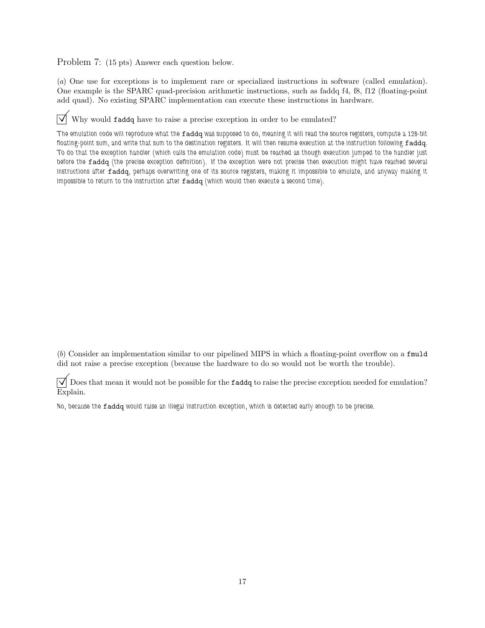Problem 7: (15 pts) Answer each question below.

(a) One use for exceptions is to implement rare or specialized instructions in software (called emulation). One example is the SPARC quad-precision arithmetic instructions, such as faddq f4, f8, f12 (floating-point add quad). No existing SPARC implementation can execute these instructions in hardware.

 $\sqrt{\phantom{a}}$  Why would faddq have to raise a precise exception in order to be emulated?

The emulation code will reproduce what the faddq was supposed to do, meaning it will read the source registers, compute a 128-bit floating-point sum, and write that sum to the destination registers. It will then resume execution at the instruction following faddq. To do that the exception handler (which calls the emulation code) must be reached as though execution jumped to the handler just before the faddq (the precise exception definition). If the exception were not precise then execution might have reached several instructions after faddq, perhaps overwriting one of its source registers, making it impossible to emulate, and anyway making it impossible to return to the instruction after faddq (which would then execute a second time).

(b) Consider an implementation similar to our pipelined MIPS in which a floating-point overflow on a fmuld did not raise a precise exception (because the hardware to do so would not be worth the trouble).

 $\triangledown$  Does that mean it would not be possible for the faddq to raise the precise exception needed for emulation? Explain.

No, because the faddq would raise an illegal instruction exception, which is detected early enough to be precise.